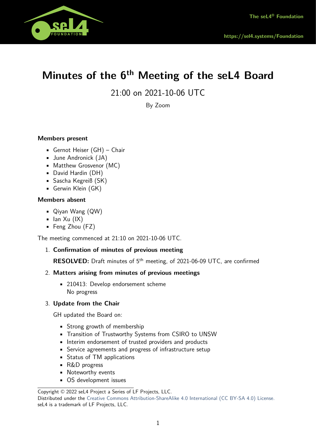

# **Minutes of the 6th Meeting of the seL4 Board**

21:00 on 2021-10-06 UTC

By Zoom

# **Members present**

- Gernot Heiser (GH) Chair
- June Andronick (JA)
- Matthew Grosvenor (MC)
- David Hardin (DH)
- Sascha Kegreiß (SK)
- Gerwin Klein (GK)

### **Members absent**

- Qiyan Wang (QW)
- $\blacksquare$  Ian Xu (IX)
- Feng Zhou (FZ)

The meeting commenced at 21:10 on 2021-10-06 UTC.

### 1. **Confirmation of minutes of previous meeting**

**RESOLVED:** Draft minutes of 5<sup>th</sup> meeting, of 2021-06-09 UTC, are confirmed

### 2. **Matters arising from minutes of previous meetings**

• 210413: Develop endorsement scheme No progress

### 3. **Update from the Chair**

GH updated the Board on:

- Strong growth of membership
- Transition of Trustworthy Systems from CSIRO to UNSW
- Interim endorsement of trusted providers and products
- Service agreements and progress of infrastructure setup
- Status of TM applications
- R&D progress
- Noteworthy events
- OS development issues

Distributed under the [Creative Commons Attribution-ShareAlike 4.0 International \(CC BY-SA 4.0\) License.](https://creativecommons.org/licenses/by-sa/4.0/legalcode) seL4 is a trademark of LF Projects, LLC.

Copyright © 2022 seL4 Project a Series of LF Projects, LLC.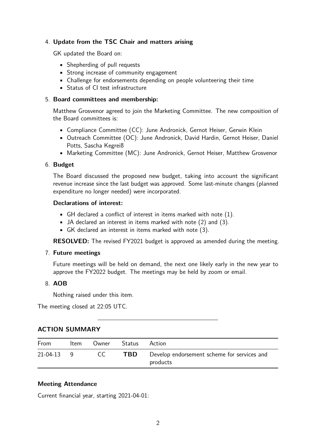# 4. **Update from the TSC Chair and matters arising**

GK updated the Board on:

- Shepherding of pull requests
- Strong increase of community engagement
- Challenge for endorsements depending on people volunteering their time
- Status of CI test infrastructure

## 5. **Board committees and membership:**

Matthew Grosvenor agreed to join the Marketing Committee. The new composition of the Board committees is:

- Compliance Committee (CC): June Andronick, Gernot Heiser, Gerwin Klein
- Outreach Committee (OC): June Andronick, David Hardin, Gernot Heiser, Daniel Potts, Sascha Kegreiß
- Marketing Committee (MC): June Andronick, Gernot Heiser, Matthew Grosvenor

### 6. **Budget**

The Board discussed the proposed new budget, taking into account the significant revenue increase since the last budget was approved. Some last-minute changes (planned expenditure no longer needed) were incorporated.

#### **Declarations of interest:**

- $\blacksquare$  GH declared a conflict of interest in items marked with note (1).
- JA declared an interest in items marked with note (2) and (3).
- GK declared an interest in items marked with note (3).

**RESOLVED:** The revised FY2021 budget is approved as amended during the meeting.

### 7. **Future meetings**

Future meetings will be held on demand, the next one likely early in the new year to approve the FY2022 budget. The meetings may be held by zoom or email.

### 8. **AOB**

Nothing raised under this item.

The meeting closed at 22:05 UTC.

## **ACTION SUMMARY**

| From         | Item | Owner | Status | Action                                                  |
|--------------|------|-------|--------|---------------------------------------------------------|
| $21-04-13$ 9 |      | CC.   | TBD.   | Develop endorsement scheme for services and<br>products |

### **Meeting Attendance**

Current financial year, starting 2021-04-01: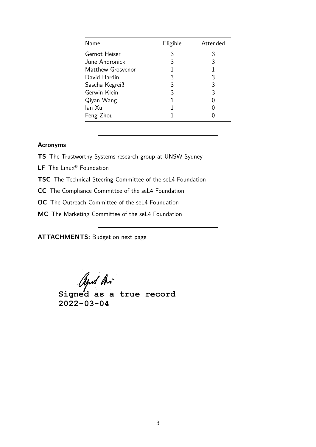| Name              | Eligible | Attended |
|-------------------|----------|----------|
| Gernot Heiser     | 3        | 3        |
| June Andronick    | 3        | 3        |
| Matthew Grosvenor |          |          |
| David Hardin      | 3        | 3        |
| Sascha Kegreiß    | 3        | 3        |
| Gerwin Klein      | 3        | 3        |
| Qiyan Wang        | 1        |          |
| lan Xu            |          |          |
| Feng Zhou         |          |          |

## **Acronyms**

- **TS** The Trustworthy Systems research group at UNSW Sydney
- **LF** The Linux® Foundation
- **TSC** The Technical Steering Committee of the seL4 Foundation
- **CC** The Compliance Committee of the seL4 Foundation
- **OC** The Outreach Committee of the seL4 Foundation
- **MC** The Marketing Committee of the seL4 Foundation

**ATTACHMENTS:** Budget on next page

*Apud An*<br>Signed as a true record **2022-03-04**